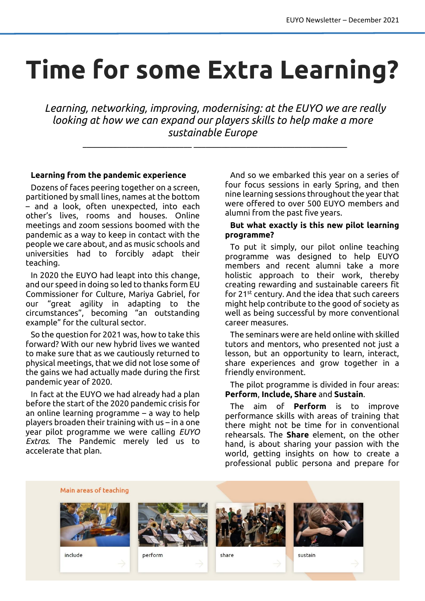# **Time for some Extra Learning?**

*Learning, networking, improving, modernising: at the EUYO we are really looking at how we can expand our players skills to help make a more sustainable Europe*

 $\_$  , and the set of the set of the set of the set of the set of the set of the set of the set of the set of the set of the set of the set of the set of the set of the set of the set of the set of the set of the set of th

### **Learning from the pandemic experience**

Dozens of faces peering together on a screen, partitioned by small lines, names at the bottom – and a look, often unexpected, into each other's lives, rooms and houses. Online meetings and zoom sessions boomed with the pandemic as a way to keep in contact with the people we care about, and as music schools and universities had to forcibly adapt their teaching.

In 2020 the EUYO had leapt into this change, and our speed in doing so led to thanks form EU Commissioner for Culture, Mariya Gabriel, for our "great agility in adapting to the circumstances", becoming "an outstanding example" for the cultural sector.

So the question for 2021 was, how to take this forward? With our new hybrid lives we wanted to make sure that as we cautiously returned to physical meetings, that we did not lose some of the gains we had actually made during the first pandemic year of 2020.

In fact at the EUYO we had already had a plan before the start of the 2020 pandemic crisis for an online learning programme – a way to help players broaden their training with us – in a one year pilot programme we were calling *EUYO Extras*. The Pandemic merely led us to accelerate that plan.

And so we embarked this year on a series of four focus sessions in early Spring, and then nine learning sessions throughout the year that were offered to over 500 EUYO members and alumni from the past five years.

#### **But what exactly is this new pilot learning programme?**

To put it simply, our pilot online teaching programme was designed to help EUYO members and recent alumni take a more holistic approach to their work, thereby creating rewarding and sustainable careers fit for 21st century. And the idea that such careers might help contribute to the good of society as well as being successful by more conventional career measures.

The seminars were are held online with skilled tutors and mentors, who presented not just a lesson, but an opportunity to learn, interact, share experiences and grow together in a friendly environment.

The pilot programme is divided in four areas: **Perform**, **Include, Share** and **Sustain**.

The aim of **Perform** is to improve performance skills with areas of training that there might not be time for in conventional rehearsals. The **Share** element, on the other hand, is about sharing your passion with the world, getting insights on how to create a professional public persona and prepare for

Main areas of teaching



include



perform



share



sustain